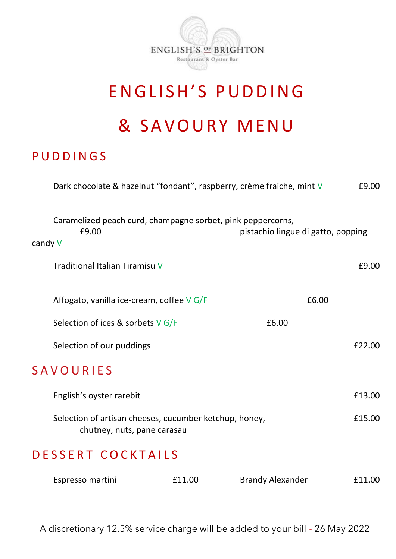

# ENGLISH'S PUDDING

# & S A V O U R Y M E N U

### **PUDDINGS**

|                  | Dark chocolate & hazelnut "fondant", raspberry, crème fraiche, mint V                 |                                    | £9.00  |
|------------------|---------------------------------------------------------------------------------------|------------------------------------|--------|
| candy V          | Caramelized peach curd, champagne sorbet, pink peppercorns,<br>£9.00                  | pistachio lingue di gatto, popping |        |
|                  | Traditional Italian Tiramisu V                                                        |                                    | £9.00  |
|                  | Affogato, vanilla ice-cream, coffee $V$ G/F                                           | £6.00                              |        |
|                  | Selection of ices & sorbets $V$ G/F                                                   | £6.00                              |        |
|                  | Selection of our puddings                                                             |                                    | £22.00 |
| <b>SAVOURIES</b> |                                                                                       |                                    |        |
|                  | English's oyster rarebit                                                              |                                    | £13.00 |
|                  | Selection of artisan cheeses, cucumber ketchup, honey,<br>chutney, nuts, pane carasau |                                    | £15.00 |
|                  | DESSERT COCKTAILS                                                                     |                                    |        |

|  | Espresso martini | £11.00 | Brandy Alexander | £11.00 |
|--|------------------|--------|------------------|--------|
|--|------------------|--------|------------------|--------|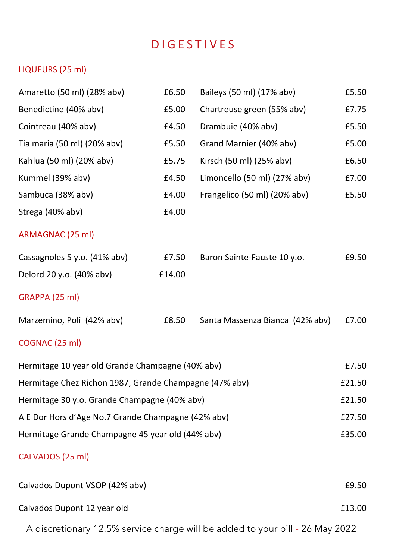## D I G E S T I V E S

#### LIQUEURS (25 ml)

| Amaretto (50 ml) (28% abv)                             | £6.50  | Baileys (50 ml) (17% abv)       | £5.50  |
|--------------------------------------------------------|--------|---------------------------------|--------|
| Benedictine (40% abv)                                  | £5.00  | Chartreuse green (55% abv)      | £7.75  |
| Cointreau (40% abv)                                    | £4.50  | Drambuie (40% abv)              | £5.50  |
| Tia maria (50 ml) (20% abv)                            | £5.50  | Grand Marnier (40% abv)         | £5.00  |
| Kahlua (50 ml) (20% abv)                               | £5.75  | Kirsch (50 ml) (25% abv)        | £6.50  |
| Kummel (39% abv)                                       | £4.50  | Limoncello (50 ml) (27% abv)    | £7.00  |
| Sambuca (38% abv)                                      | £4.00  | Frangelico (50 ml) (20% abv)    | £5.50  |
| Strega (40% abv)                                       | £4.00  |                                 |        |
| ARMAGNAC (25 ml)                                       |        |                                 |        |
| Cassagnoles 5 y.o. (41% abv)                           | £7.50  | Baron Sainte-Fauste 10 y.o.     | £9.50  |
| Delord 20 y.o. (40% abv)                               | £14.00 |                                 |        |
| GRAPPA (25 ml)                                         |        |                                 |        |
| Marzemino, Poli (42% abv)                              | £8.50  | Santa Massenza Bianca (42% abv) | £7.00  |
| COGNAC (25 ml)                                         |        |                                 |        |
| Hermitage 10 year old Grande Champagne (40% abv)       |        |                                 |        |
| Hermitage Chez Richon 1987, Grande Champagne (47% abv) |        |                                 |        |
| Hermitage 30 y.o. Grande Champagne (40% abv)           |        |                                 |        |
| A E Dor Hors d'Age No.7 Grande Champagne (42% abv)     |        |                                 | £27.50 |
| Hermitage Grande Champagne 45 year old (44% abv)       |        |                                 |        |
| CALVADOS (25 ml)                                       |        |                                 |        |
| Calvados Dupont VSOP (42% abv)                         |        |                                 | £9.50  |
| Calvados Dupont 12 year old                            |        |                                 | £13.00 |

A discretionary 12.5% service charge will be added to your bill - 26 May 2022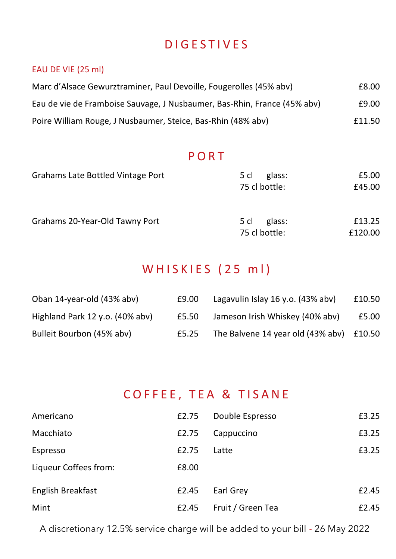## D I G E S T I V E S

#### EAU DE VIE (25 ml)

| Marc d'Alsace Gewurztraminer, Paul Devoille, Fougerolles (45% aby)       | £8.00  |
|--------------------------------------------------------------------------|--------|
| Eau de vie de Framboise Sauvage, J Nusbaumer, Bas-Rhin, France (45% abv) | £9.00  |
| Poire William Rouge, J Nusbaumer, Steice, Bas-Rhin (48% aby)             | £11.50 |

### **PORT**

| Grahams Late Bottled Vintage Port | glass:<br>5 cl                  | £5.00             |
|-----------------------------------|---------------------------------|-------------------|
|                                   | 75 cl bottle:                   | £45.00            |
| Grahams 20-Year-Old Tawny Port    | glass:<br>5 cl<br>75 cl bottle: | £13.25<br>£120.00 |
|                                   |                                 |                   |

## W H I S K I E S ( 25 m l )

| Oban 14-year-old (43% aby)         | £9.00 | Lagavulin Islay 16 y.o. (43% aby) | £10.50 |
|------------------------------------|-------|-----------------------------------|--------|
| Highland Park 12 y.o. $(40\%$ aby) | £5.50 | Jameson Irish Whiskey (40% aby)   | £5.00  |
| Bulleit Bourbon (45% abv)          | £5.25 | The Balvene 14 year old (43% aby) | £10.50 |

### COFFEE, TEA & TISANE

| Americano             | £2.75 | Double Espresso   | £3.25 |
|-----------------------|-------|-------------------|-------|
| Macchiato             | £2.75 | Cappuccino        | £3.25 |
| Espresso              | £2.75 | Latte             | £3.25 |
| Liqueur Coffees from: | £8.00 |                   |       |
| English Breakfast     | £2.45 | Earl Grey         | £2.45 |
| Mint                  | £2.45 | Fruit / Green Tea | £2.45 |

A discretionary 12.5% service charge will be added to your bill - 26 May 2022